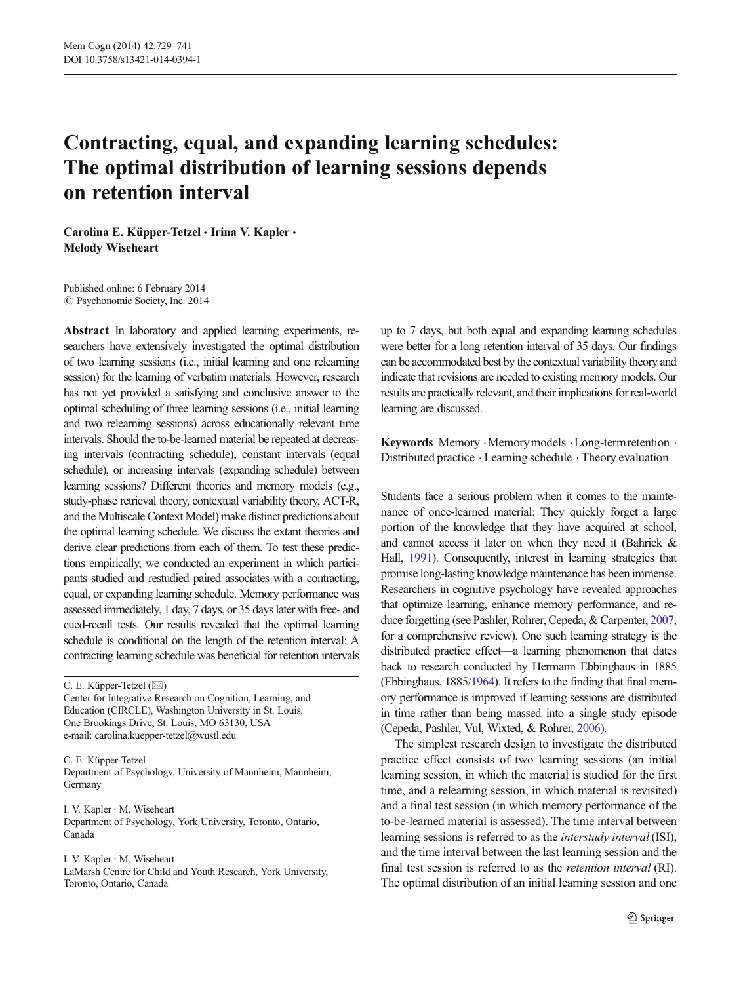# Contracting, equal, and expanding learning schedules: The optimal distribution of learning sessions depends on retention interval

Carolina E. Küpper-Tetzel • Irina V. Kapler • Melody Wiseheart

Published online: 6 February 2014  $\odot$  Psychonomic Society, Inc. 2014

Abstract In laboratory and applied learning experiments, researchers have extensively investigated the optimal distribution of two learning sessions (i.e., initial learning and one relearning session) for the learning of verbatim materials. However, research has not yet provided a satisfying and conclusive answer to the optimal scheduling of three learning sessions (i.e., initial learning and two relearning sessions) across educationally relevant time intervals. Should the to-be-learned material be repeated at decreasing intervals (contracting schedule), constant intervals (equal schedule), or increasing intervals (expanding schedule) between learning sessions? Different theories and memory models (e.g., study-phase retrieval theory, contextual variability theory, ACT-R, and the Multiscale Context Model) make distinct predictions about the optimal learning schedule. We discuss the extant theories and derive clear predictions from each of them. To test these predictions empirically, we conducted an experiment in which participants studied and restudied paired associates with a contracting, equal, or expanding learning schedule. Memory performance was assessed immediately, 1 day, 7 days, or 35 days later with free- and cued-recall tests. Our results revealed that the optimal learning schedule is conditional on the length of the retention interval: A contracting learning schedule was beneficial for retention intervals

C. E. Küpper-Tetzel  $(\boxtimes)$ Center for Integrative Research on Cognition, Learning, and Education (CIRCLE), Washington University in St. Louis, One Brookings Drive, St. Louis, MO 63130, USA e-mail: carolina.kuepper-tetzel@wustl.edu

C. E. Küpper-Tetzel

Department of Psychology, University of Mannheim, Mannheim, Germany

I. V. Kapler : M. Wiseheart Department of Psychology, York University, Toronto, Ontario, Canada

I. V. Kapler : M. Wiseheart

LaMarsh Centre for Child and Youth Research, York University, Toronto, Ontario, Canada

up to 7 days, but both equal and expanding learning schedules were better for a long retention interval of 35 days. Our findings can be accommodated best by the contextual variability theory and indicate that revisions are needed to existing memory models. Our results are practically relevant, and their implications for real-world learning are discussed.

Keywords Memory . Memory models . Long-term retention . Distributed practice . Learning schedule . Theory evaluation

Students face a serious problem when it comes to the maintenance of once-learned material: They quickly forget a large portion of the knowledge that they have acquired at school, and cannot access it later on when they need it (Bahrick & Hall, [1991\)](#page-11-0). Consequently, interest in learning strategies that promise long-lasting knowledge maintenance has been immense. Researchers in cognitive psychology have revealed approaches that optimize learning, enhance memory performance, and reduce forgetting (see Pashler, Rohrer, Cepeda, & Carpenter, [2007,](#page-12-0) for a comprehensive review). One such learning strategy is the distributed practice effect—a learning phenomenon that dates back to research conducted by Hermann Ebbinghaus in 1885 (Ebbinghaus, 1885[/1964](#page-11-0)). It refers to the finding that final memory performance is improved if learning sessions are distributed in time rather than being massed into a single study episode (Cepeda, Pashler, Vul, Wixted, & Rohrer, [2006\)](#page-11-0).

The simplest research design to investigate the distributed practice effect consists of two learning sessions (an initial learning session, in which the material is studied for the first time, and a relearning session, in which material is revisited) and a final test session (in which memory performance of the to-be-learned material is assessed). The time interval between learning sessions is referred to as the interstudy interval (ISI), and the time interval between the last learning session and the final test session is referred to as the retention interval (RI). The optimal distribution of an initial learning session and one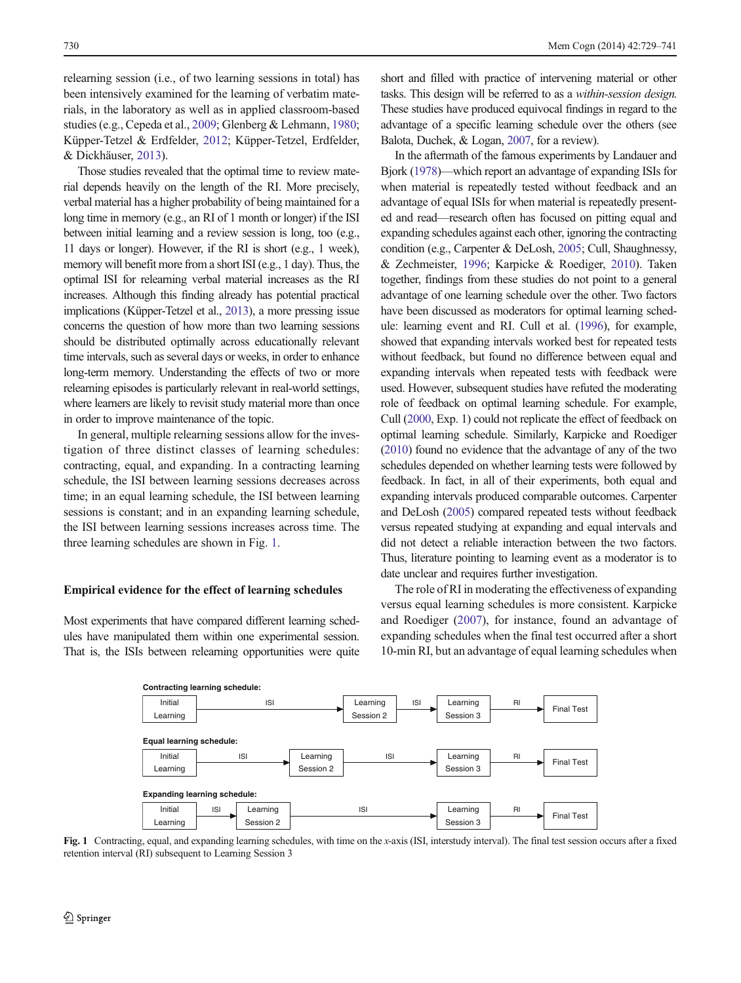<span id="page-1-0"></span>relearning session (i.e., of two learning sessions in total) has been intensively examined for the learning of verbatim materials, in the laboratory as well as in applied classroom-based studies (e.g., Cepeda et al., [2009;](#page-11-0) Glenberg & Lehmann, [1980](#page-11-0); Küpper-Tetzel & Erdfelder, [2012;](#page-12-0) Küpper-Tetzel, Erdfelder, & Dickhäuser, [2013\)](#page-12-0).

Those studies revealed that the optimal time to review material depends heavily on the length of the RI. More precisely, verbal material has a higher probability of being maintained for a long time in memory (e.g., an RI of 1 month or longer) if the ISI between initial learning and a review session is long, too (e.g., 11 days or longer). However, if the RI is short (e.g., 1 week), memory will benefit more from a short ISI (e.g., 1 day). Thus, the optimal ISI for relearning verbal material increases as the RI increases. Although this finding already has potential practical implications (Küpper-Tetzel et al., [2013\)](#page-12-0), a more pressing issue concerns the question of how more than two learning sessions should be distributed optimally across educationally relevant time intervals, such as several days or weeks, in order to enhance long-term memory. Understanding the effects of two or more relearning episodes is particularly relevant in real-world settings, where learners are likely to revisit study material more than once in order to improve maintenance of the topic.

In general, multiple relearning sessions allow for the investigation of three distinct classes of learning schedules: contracting, equal, and expanding. In a contracting learning schedule, the ISI between learning sessions decreases across time; in an equal learning schedule, the ISI between learning sessions is constant; and in an expanding learning schedule, the ISI between learning sessions increases across time. The three learning schedules are shown in Fig. 1.

#### Empirical evidence for the effect of learning schedules

Most experiments that have compared different learning schedules have manipulated them within one experimental session. That is, the ISIs between relearning opportunities were quite

short and filled with practice of intervening material or other tasks. This design will be referred to as a within-session design. These studies have produced equivocal findings in regard to the advantage of a specific learning schedule over the others (see Balota, Duchek, & Logan, [2007,](#page-11-0) for a review).

In the aftermath of the famous experiments by Landauer and Bjork ([1978\)](#page-12-0)—which report an advantage of expanding ISIs for when material is repeatedly tested without feedback and an advantage of equal ISIs for when material is repeatedly presented and read—research often has focused on pitting equal and expanding schedules against each other, ignoring the contracting condition (e.g., Carpenter & DeLosh, [2005;](#page-11-0) Cull, Shaughnessy, & Zechmeister, [1996](#page-11-0); Karpicke & Roediger, [2010\)](#page-12-0). Taken together, findings from these studies do not point to a general advantage of one learning schedule over the other. Two factors have been discussed as moderators for optimal learning schedule: learning event and RI. Cull et al. ([1996\)](#page-11-0), for example, showed that expanding intervals worked best for repeated tests without feedback, but found no difference between equal and expanding intervals when repeated tests with feedback were used. However, subsequent studies have refuted the moderating role of feedback on optimal learning schedule. For example, Cull [\(2000](#page-11-0), Exp. 1) could not replicate the effect of feedback on optimal learning schedule. Similarly, Karpicke and Roediger [\(2010](#page-12-0)) found no evidence that the advantage of any of the two schedules depended on whether learning tests were followed by feedback. In fact, in all of their experiments, both equal and expanding intervals produced comparable outcomes. Carpenter and DeLosh [\(2005](#page-11-0)) compared repeated tests without feedback versus repeated studying at expanding and equal intervals and did not detect a reliable interaction between the two factors. Thus, literature pointing to learning event as a moderator is to date unclear and requires further investigation.

The role of RI in moderating the effectiveness of expanding versus equal learning schedules is more consistent. Karpicke and Roediger ([2007\)](#page-12-0), for instance, found an advantage of expanding schedules when the final test occurred after a short 10-min RI, but an advantage of equal learning schedules when



Fig. 1 Contracting, equal, and expanding learning schedules, with time on the x-axis (ISI, interstudy interval). The final test session occurs after a fixed retention interval (RI) subsequent to Learning Session 3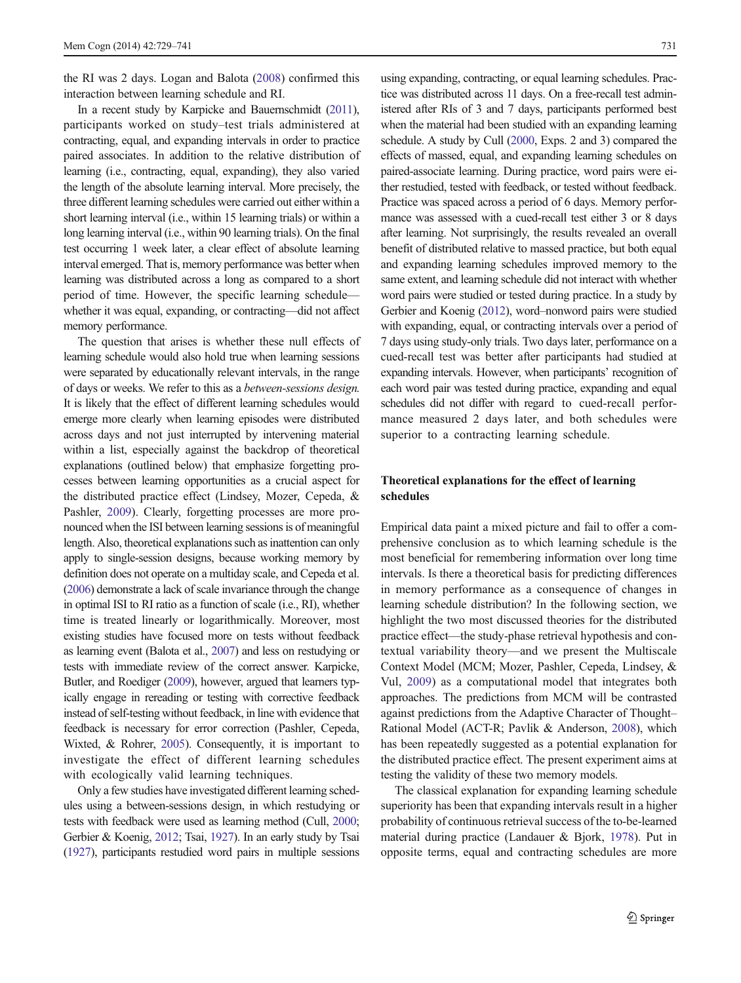the RI was 2 days. Logan and Balota [\(2008\)](#page-12-0) confirmed this interaction between learning schedule and RI.

In a recent study by Karpicke and Bauernschmidt [\(2011\)](#page-11-0), participants worked on study–test trials administered at contracting, equal, and expanding intervals in order to practice paired associates. In addition to the relative distribution of learning (i.e., contracting, equal, expanding), they also varied the length of the absolute learning interval. More precisely, the three different learning schedules were carried out either within a short learning interval (i.e., within 15 learning trials) or within a long learning interval (i.e., within 90 learning trials). On the final test occurring 1 week later, a clear effect of absolute learning interval emerged. That is, memory performance was better when learning was distributed across a long as compared to a short period of time. However, the specific learning schedule whether it was equal, expanding, or contracting—did not affect memory performance.

The question that arises is whether these null effects of learning schedule would also hold true when learning sessions were separated by educationally relevant intervals, in the range of days or weeks. We refer to this as a between-sessions design. It is likely that the effect of different learning schedules would emerge more clearly when learning episodes were distributed across days and not just interrupted by intervening material within a list, especially against the backdrop of theoretical explanations (outlined below) that emphasize forgetting processes between learning opportunities as a crucial aspect for the distributed practice effect (Lindsey, Mozer, Cepeda, & Pashler, [2009\)](#page-12-0). Clearly, forgetting processes are more pronounced when the ISI between learning sessions is of meaningful length. Also, theoretical explanations such as inattention can only apply to single-session designs, because working memory by definition does not operate on a multiday scale, and Cepeda et al. [\(2006\)](#page-11-0) demonstrate a lack of scale invariance through the change in optimal ISI to RI ratio as a function of scale (i.e., RI), whether time is treated linearly or logarithmically. Moreover, most existing studies have focused more on tests without feedback as learning event (Balota et al., [2007\)](#page-11-0) and less on restudying or tests with immediate review of the correct answer. Karpicke, Butler, and Roediger ([2009](#page-12-0)), however, argued that learners typically engage in rereading or testing with corrective feedback instead of self-testing without feedback, in line with evidence that feedback is necessary for error correction (Pashler, Cepeda, Wixted, & Rohrer, [2005\)](#page-12-0). Consequently, it is important to investigate the effect of different learning schedules with ecologically valid learning techniques.

Only a few studies have investigated different learning schedules using a between-sessions design, in which restudying or tests with feedback were used as learning method (Cull, [2000](#page-11-0); Gerbier & Koenig, [2012;](#page-11-0) Tsai, [1927\)](#page-12-0). In an early study by Tsai [\(1927\)](#page-12-0), participants restudied word pairs in multiple sessions

using expanding, contracting, or equal learning schedules. Practice was distributed across 11 days. On a free-recall test administered after RIs of 3 and 7 days, participants performed best when the material had been studied with an expanding learning schedule. A study by Cull ([2000,](#page-11-0) Exps. 2 and 3) compared the effects of massed, equal, and expanding learning schedules on paired-associate learning. During practice, word pairs were either restudied, tested with feedback, or tested without feedback. Practice was spaced across a period of 6 days. Memory performance was assessed with a cued-recall test either 3 or 8 days after learning. Not surprisingly, the results revealed an overall benefit of distributed relative to massed practice, but both equal and expanding learning schedules improved memory to the same extent, and learning schedule did not interact with whether word pairs were studied or tested during practice. In a study by Gerbier and Koenig [\(2012](#page-11-0)), word–nonword pairs were studied with expanding, equal, or contracting intervals over a period of 7 days using study-only trials. Two days later, performance on a cued-recall test was better after participants had studied at expanding intervals. However, when participants' recognition of each word pair was tested during practice, expanding and equal schedules did not differ with regard to cued-recall performance measured 2 days later, and both schedules were superior to a contracting learning schedule.

# Theoretical explanations for the effect of learning schedules

Empirical data paint a mixed picture and fail to offer a comprehensive conclusion as to which learning schedule is the most beneficial for remembering information over long time intervals. Is there a theoretical basis for predicting differences in memory performance as a consequence of changes in learning schedule distribution? In the following section, we highlight the two most discussed theories for the distributed practice effect—the study-phase retrieval hypothesis and contextual variability theory—and we present the Multiscale Context Model (MCM; Mozer, Pashler, Cepeda, Lindsey, & Vul, [2009](#page-12-0)) as a computational model that integrates both approaches. The predictions from MCM will be contrasted against predictions from the Adaptive Character of Thought– Rational Model (ACT-R; Pavlik & Anderson, [2008](#page-12-0)), which has been repeatedly suggested as a potential explanation for the distributed practice effect. The present experiment aims at testing the validity of these two memory models.

The classical explanation for expanding learning schedule superiority has been that expanding intervals result in a higher probability of continuous retrieval success of the to-be-learned material during practice (Landauer & Bjork, [1978\)](#page-12-0). Put in opposite terms, equal and contracting schedules are more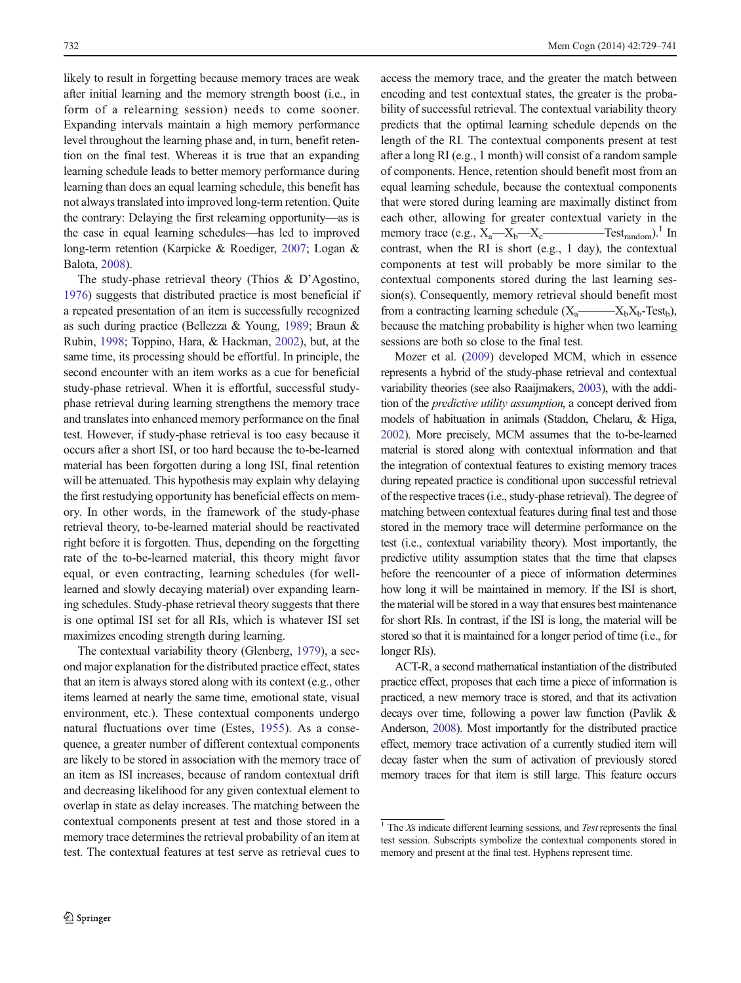likely to result in forgetting because memory traces are weak after initial learning and the memory strength boost (i.e., in form of a relearning session) needs to come sooner. Expanding intervals maintain a high memory performance level throughout the learning phase and, in turn, benefit retention on the final test. Whereas it is true that an expanding learning schedule leads to better memory performance during learning than does an equal learning schedule, this benefit has not always translated into improved long-term retention. Quite the contrary: Delaying the first relearning opportunity—as is the case in equal learning schedules—has led to improved long-term retention (Karpicke & Roediger, [2007](#page-12-0); Logan & Balota, [2008\)](#page-12-0).

The study-phase retrieval theory (Thios & D'Agostino, [1976\)](#page-12-0) suggests that distributed practice is most beneficial if a repeated presentation of an item is successfully recognized as such during practice (Bellezza & Young, [1989](#page-11-0); Braun & Rubin, [1998;](#page-11-0) Toppino, Hara, & Hackman, [2002\)](#page-12-0), but, at the same time, its processing should be effortful. In principle, the second encounter with an item works as a cue for beneficial study-phase retrieval. When it is effortful, successful studyphase retrieval during learning strengthens the memory trace and translates into enhanced memory performance on the final test. However, if study-phase retrieval is too easy because it occurs after a short ISI, or too hard because the to-be-learned material has been forgotten during a long ISI, final retention will be attenuated. This hypothesis may explain why delaying the first restudying opportunity has beneficial effects on memory. In other words, in the framework of the study-phase retrieval theory, to-be-learned material should be reactivated right before it is forgotten. Thus, depending on the forgetting rate of the to-be-learned material, this theory might favor equal, or even contracting, learning schedules (for welllearned and slowly decaying material) over expanding learning schedules. Study-phase retrieval theory suggests that there is one optimal ISI set for all RIs, which is whatever ISI set maximizes encoding strength during learning.

The contextual variability theory (Glenberg, [1979\)](#page-11-0), a second major explanation for the distributed practice effect, states that an item is always stored along with its context (e.g., other items learned at nearly the same time, emotional state, visual environment, etc.). These contextual components undergo natural fluctuations over time (Estes, [1955](#page-11-0)). As a consequence, a greater number of different contextual components are likely to be stored in association with the memory trace of an item as ISI increases, because of random contextual drift and decreasing likelihood for any given contextual element to overlap in state as delay increases. The matching between the contextual components present at test and those stored in a memory trace determines the retrieval probability of an item at test. The contextual features at test serve as retrieval cues to

access the memory trace, and the greater the match between encoding and test contextual states, the greater is the probability of successful retrieval. The contextual variability theory predicts that the optimal learning schedule depends on the length of the RI. The contextual components present at test after a long RI (e.g., 1 month) will consist of a random sample of components. Hence, retention should benefit most from an equal learning schedule, because the contextual components that were stored during learning are maximally distinct from each other, allowing for greater contextual variety in the memory trace (e.g.,  $X_a$ — $X_b$ — $X_c$ ——————Test<sub>random</sub>).<sup>1</sup> In contrast, when the RI is short (e.g., 1 day), the contextual components at test will probably be more similar to the contextual components stored during the last learning session(s). Consequently, memory retrieval should benefit most from a contracting learning schedule  $(X_a \rightarrow X_b X_b - \text{Test}_b)$ , because the matching probability is higher when two learning sessions are both so close to the final test.

Mozer et al. [\(2009\)](#page-12-0) developed MCM, which in essence represents a hybrid of the study-phase retrieval and contextual variability theories (see also Raaijmakers, [2003\)](#page-12-0), with the addition of the predictive utility assumption, a concept derived from models of habituation in animals (Staddon, Chelaru, & Higa, [2002](#page-12-0)). More precisely, MCM assumes that the to-be-learned material is stored along with contextual information and that the integration of contextual features to existing memory traces during repeated practice is conditional upon successful retrieval of the respective traces (i.e., study-phase retrieval). The degree of matching between contextual features during final test and those stored in the memory trace will determine performance on the test (i.e., contextual variability theory). Most importantly, the predictive utility assumption states that the time that elapses before the reencounter of a piece of information determines how long it will be maintained in memory. If the ISI is short, the material will be stored in a way that ensures best maintenance for short RIs. In contrast, if the ISI is long, the material will be stored so that it is maintained for a longer period of time (i.e., for longer RIs).

ACT-R, a second mathematical instantiation of the distributed practice effect, proposes that each time a piece of information is practiced, a new memory trace is stored, and that its activation decays over time, following a power law function (Pavlik & Anderson, [2008\)](#page-12-0). Most importantly for the distributed practice effect, memory trace activation of a currently studied item will decay faster when the sum of activation of previously stored memory traces for that item is still large. This feature occurs

 $1$  The *Xs* indicate different learning sessions, and *Test* represents the final test session. Subscripts symbolize the contextual components stored in memory and present at the final test. Hyphens represent time.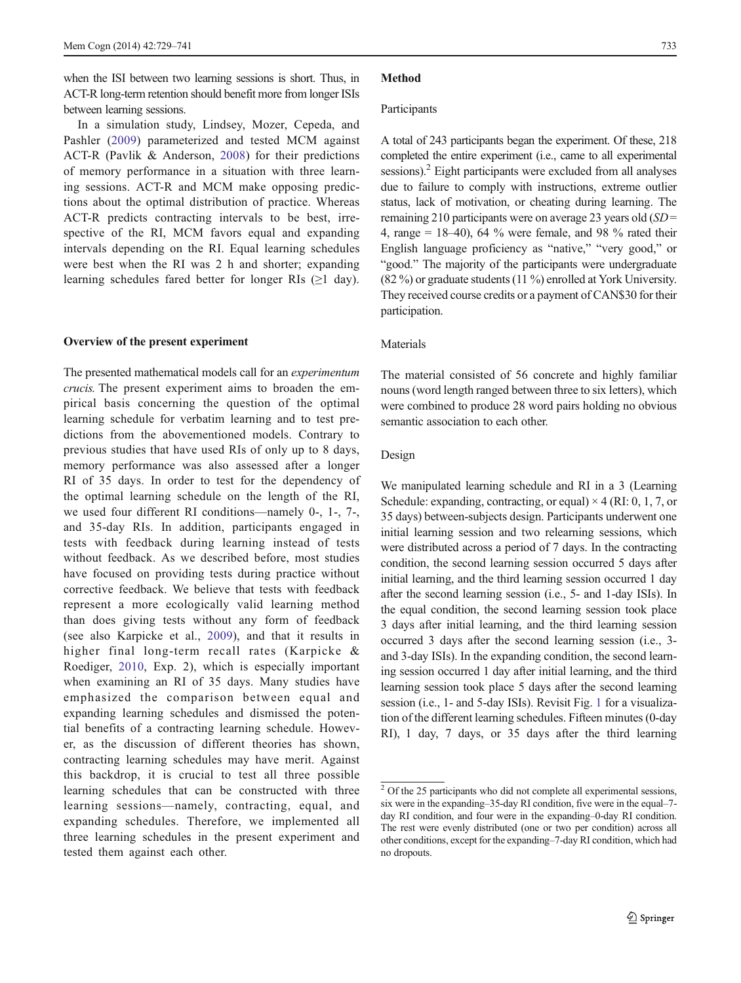when the ISI between two learning sessions is short. Thus, in ACT-R long-term retention should benefit more from longer ISIs between learning sessions.

In a simulation study, Lindsey, Mozer, Cepeda, and Pashler ([2009\)](#page-12-0) parameterized and tested MCM against ACT-R (Pavlik & Anderson, [2008](#page-12-0)) for their predictions of memory performance in a situation with three learning sessions. ACT-R and MCM make opposing predictions about the optimal distribution of practice. Whereas ACT-R predicts contracting intervals to be best, irrespective of the RI, MCM favors equal and expanding intervals depending on the RI. Equal learning schedules were best when the RI was 2 h and shorter; expanding learning schedules fared better for longer RIs  $(\geq 1$  day).

#### Overview of the present experiment

The presented mathematical models call for an experimentum crucis. The present experiment aims to broaden the empirical basis concerning the question of the optimal learning schedule for verbatim learning and to test predictions from the abovementioned models. Contrary to previous studies that have used RIs of only up to 8 days, memory performance was also assessed after a longer RI of 35 days. In order to test for the dependency of the optimal learning schedule on the length of the RI, we used four different RI conditions—namely 0-, 1-, 7-, and 35-day RIs. In addition, participants engaged in tests with feedback during learning instead of tests without feedback. As we described before, most studies have focused on providing tests during practice without corrective feedback. We believe that tests with feedback represent a more ecologically valid learning method than does giving tests without any form of feedback (see also Karpicke et al., [2009](#page-12-0)), and that it results in higher final long-term recall rates (Karpicke & Roediger, [2010,](#page-12-0) Exp. 2), which is especially important when examining an RI of 35 days. Many studies have emphasized the comparison between equal and expanding learning schedules and dismissed the potential benefits of a contracting learning schedule. However, as the discussion of different theories has shown, contracting learning schedules may have merit. Against this backdrop, it is crucial to test all three possible learning schedules that can be constructed with three learning sessions—namely, contracting, equal, and expanding schedules. Therefore, we implemented all three learning schedules in the present experiment and tested them against each other.

#### Method

#### Participants

A total of 243 participants began the experiment. Of these, 218 completed the entire experiment (i.e., came to all experimental sessions). $^{2}$  Eight participants were excluded from all analyses due to failure to comply with instructions, extreme outlier status, lack of motivation, or cheating during learning. The remaining 210 participants were on average 23 years old (SD= 4, range =  $18-40$ , 64 % were female, and 98 % rated their English language proficiency as "native," "very good," or "good." The majority of the participants were undergraduate (82 %) or graduate students (11 %) enrolled at York University. They received course credits or a payment of CAN\$30 for their participation.

#### Materials

The material consisted of 56 concrete and highly familiar nouns (word length ranged between three to six letters), which were combined to produce 28 word pairs holding no obvious semantic association to each other.

## Design

We manipulated learning schedule and RI in a 3 (Learning Schedule: expanding, contracting, or equal)  $\times$  4 (RI: 0, 1, 7, or 35 days) between-subjects design. Participants underwent one initial learning session and two relearning sessions, which were distributed across a period of 7 days. In the contracting condition, the second learning session occurred 5 days after initial learning, and the third learning session occurred 1 day after the second learning session (i.e., 5- and 1-day ISIs). In the equal condition, the second learning session took place 3 days after initial learning, and the third learning session occurred 3 days after the second learning session (i.e., 3 and 3-day ISIs). In the expanding condition, the second learning session occurred 1 day after initial learning, and the third learning session took place 5 days after the second learning session (i.e., 1- and 5-day ISIs). Revisit Fig. [1](#page-1-0) for a visualization of the different learning schedules. Fifteen minutes (0-day RI), 1 day, 7 days, or 35 days after the third learning

<sup>&</sup>lt;sup>2</sup> Of the 25 participants who did not complete all experimental sessions, six were in the expanding–35-day RI condition, five were in the equal–7 day RI condition, and four were in the expanding–0-day RI condition. The rest were evenly distributed (one or two per condition) across all other conditions, except for the expanding–7-day RI condition, which had no dropouts.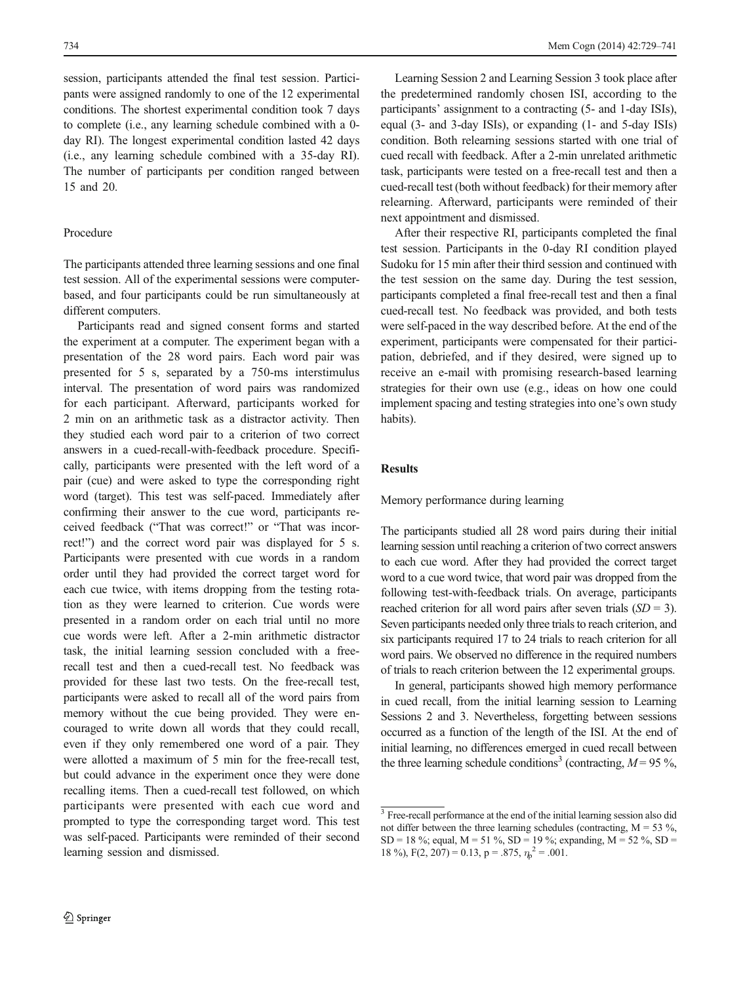session, participants attended the final test session. Participants were assigned randomly to one of the 12 experimental conditions. The shortest experimental condition took 7 days to complete (i.e., any learning schedule combined with a 0 day RI). The longest experimental condition lasted 42 days (i.e., any learning schedule combined with a 35-day RI). The number of participants per condition ranged between 15 and 20.

## Procedure

The participants attended three learning sessions and one final test session. All of the experimental sessions were computerbased, and four participants could be run simultaneously at different computers.

Participants read and signed consent forms and started the experiment at a computer. The experiment began with a presentation of the 28 word pairs. Each word pair was presented for 5 s, separated by a 750-ms interstimulus interval. The presentation of word pairs was randomized for each participant. Afterward, participants worked for 2 min on an arithmetic task as a distractor activity. Then they studied each word pair to a criterion of two correct answers in a cued-recall-with-feedback procedure. Specifically, participants were presented with the left word of a pair (cue) and were asked to type the corresponding right word (target). This test was self-paced. Immediately after confirming their answer to the cue word, participants received feedback ("That was correct!" or "That was incorrect!") and the correct word pair was displayed for 5 s. Participants were presented with cue words in a random order until they had provided the correct target word for each cue twice, with items dropping from the testing rotation as they were learned to criterion. Cue words were presented in a random order on each trial until no more cue words were left. After a 2-min arithmetic distractor task, the initial learning session concluded with a freerecall test and then a cued-recall test. No feedback was provided for these last two tests. On the free-recall test, participants were asked to recall all of the word pairs from memory without the cue being provided. They were encouraged to write down all words that they could recall, even if they only remembered one word of a pair. They were allotted a maximum of 5 min for the free-recall test, but could advance in the experiment once they were done recalling items. Then a cued-recall test followed, on which participants were presented with each cue word and prompted to type the corresponding target word. This test was self-paced. Participants were reminded of their second learning session and dismissed.

Learning Session 2 and Learning Session 3 took place after the predetermined randomly chosen ISI, according to the participants' assignment to a contracting (5- and 1-day ISIs), equal (3- and 3-day ISIs), or expanding (1- and 5-day ISIs) condition. Both relearning sessions started with one trial of cued recall with feedback. After a 2-min unrelated arithmetic task, participants were tested on a free-recall test and then a cued-recall test (both without feedback) for their memory after relearning. Afterward, participants were reminded of their next appointment and dismissed.

After their respective RI, participants completed the final test session. Participants in the 0-day RI condition played Sudoku for 15 min after their third session and continued with the test session on the same day. During the test session, participants completed a final free-recall test and then a final cued-recall test. No feedback was provided, and both tests were self-paced in the way described before. At the end of the experiment, participants were compensated for their participation, debriefed, and if they desired, were signed up to receive an e-mail with promising research-based learning strategies for their own use (e.g., ideas on how one could implement spacing and testing strategies into one's own study habits).

## Results

Memory performance during learning

The participants studied all 28 word pairs during their initial learning session until reaching a criterion of two correct answers to each cue word. After they had provided the correct target word to a cue word twice, that word pair was dropped from the following test-with-feedback trials. On average, participants reached criterion for all word pairs after seven trials  $(SD = 3)$ . Seven participants needed only three trials to reach criterion, and six participants required 17 to 24 trials to reach criterion for all word pairs. We observed no difference in the required numbers of trials to reach criterion between the 12 experimental groups.

In general, participants showed high memory performance in cued recall, from the initial learning session to Learning Sessions 2 and 3. Nevertheless, forgetting between sessions occurred as a function of the length of the ISI. At the end of initial learning, no differences emerged in cued recall between the three learning schedule conditions<sup>3</sup> (contracting,  $M = 95 \%$ ,

<sup>&</sup>lt;sup>3</sup> Free-recall performance at the end of the initial learning session also did not differ between the three learning schedules (contracting,  $M = 53 \%$ , SD = 18 %; equal,  $M = 51$  %, SD = 19 %; expanding,  $M = 52$  %, SD = 18 %),  $F(2, 207) = 0.13$ ,  $p = .875$ ,  $\eta_p^2 = .001$ .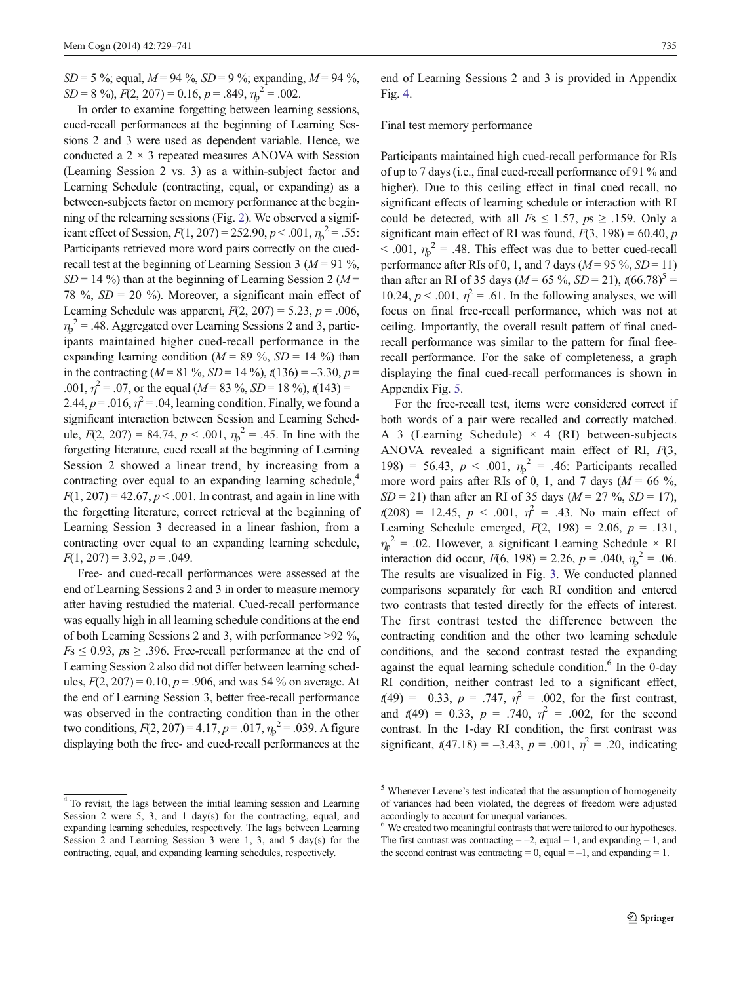$SD = 5 \%$ ; equal,  $M = 94 \%$ ,  $SD = 9 \%$ ; expanding,  $M = 94 \%$ ,  $SD = 8\%$ ,  $F(2, 207) = 0.16$ ,  $p = .849$ ,  $\eta_p^2 = .002$ .

In order to examine forgetting between learning sessions, cued-recall performances at the beginning of Learning Sessions 2 and 3 were used as dependent variable. Hence, we conducted a 2 × 3 repeated measures ANOVA with Session (Learning Session 2 vs. 3) as a within-subject factor and Learning Schedule (contracting, equal, or expanding) as a between-subjects factor on memory performance at the beginning of the relearning sessions (Fig. [2\)](#page-7-0). We observed a significant effect of Session,  $F(1, 207) = 252.90, p < .001, \eta_p^2 = .55$ : Participants retrieved more word pairs correctly on the cuedrecall test at the beginning of Learning Session 3 ( $M = 91\%$ ,  $SD = 14\%$ ) than at the beginning of Learning Session 2 (M = 78 %,  $SD = 20$  %). Moreover, a significant main effect of Learning Schedule was apparent,  $F(2, 207) = 5.23$ ,  $p = .006$ ,  $\eta_p^2$  = .48. Aggregated over Learning Sessions 2 and 3, participants maintained higher cued-recall performance in the expanding learning condition ( $M = 89 \%$ ,  $SD = 14 \%$ ) than in the contracting ( $M = 81 \%$ ,  $SD = 14 \%$ ),  $t(136) = -3.30$ ,  $p =$ .001,  $\eta^2 = .07$ , or the equal (M = 83 %, SD = 18 %), t(143) = -2.44,  $p = .016$ ,  $\eta^2 = .04$ , learning condition. Finally, we found a significant interaction between Session and Learning Schedule,  $F(2, 207) = 84.74$ ,  $p < .001$ ,  $\eta_p^2 = .45$ . In line with the forgetting literature, cued recall at the beginning of Learning Session 2 showed a linear trend, by increasing from a contracting over equal to an expanding learning schedule,<sup>4</sup>  $F(1, 207) = 42.67, p < .001$ . In contrast, and again in line with the forgetting literature, correct retrieval at the beginning of Learning Session 3 decreased in a linear fashion, from a contracting over equal to an expanding learning schedule,  $F(1, 207) = 3.92, p = .049.$ 

Free- and cued-recall performances were assessed at the end of Learning Sessions 2 and 3 in order to measure memory after having restudied the material. Cued-recall performance was equally high in all learning schedule conditions at the end of both Learning Sessions 2 and 3, with performance >92 %,  $F_s \le 0.93$ ,  $ps \ge .396$ . Free-recall performance at the end of Learning Session 2 also did not differ between learning schedules,  $F(2, 207) = 0.10$ ,  $p = .906$ , and was 54 % on average. At the end of Learning Session 3, better free-recall performance was observed in the contracting condition than in the other two conditions,  $F(2, 207) = 4.17$ ,  $p = .017$ ,  $\eta_p^2 = .039$ . A figure displaying both the free- and cued-recall performances at the

end of Learning Sessions 2 and 3 is provided in Appendix Fig. [4](#page-10-0).

#### Final test memory performance

Participants maintained high cued-recall performance for RIs of up to 7 days (i.e., final cued-recall performance of 91 % and higher). Due to this ceiling effect in final cued recall, no significant effects of learning schedule or interaction with RI could be detected, with all  $Fs \leq 1.57$ ,  $ps \geq .159$ . Only a significant main effect of RI was found,  $F(3, 198) = 60.40$ , p  $< .001$ ,  $\eta_p^2 = .48$ . This effect was due to better cued-recall performance after RIs of 0, 1, and 7 days  $(M = 95\%, SD = 11)$ than after an RI of 35 days ( $M = 65 \%$ ,  $SD = 21$ ),  $\frac{1}{66.78}$ <sup>5</sup> = 10.24,  $p < .001$ ,  $\eta^2 = .61$ . In the following analyses, we will focus on final free-recall performance, which was not at ceiling. Importantly, the overall result pattern of final cuedrecall performance was similar to the pattern for final freerecall performance. For the sake of completeness, a graph displaying the final cued-recall performances is shown in Appendix Fig. [5](#page-11-0).

For the free-recall test, items were considered correct if both words of a pair were recalled and correctly matched. A 3 (Learning Schedule)  $\times$  4 (RI) between-subjects ANOVA revealed a significant main effect of RI, F(3, 198) = 56.43,  $p < .001$ ,  $\eta_p^2 = .46$ : Participants recalled more word pairs after RIs of 0, 1, and 7 days ( $M = 66 \%$ ,  $SD = 21$ ) than after an RI of 35 days ( $M = 27 \%$ ,  $SD = 17$ ),  $t(208) = 12.45, p < .001, \eta^2 = .43.$  No main effect of Learning Schedule emerged,  $F(2, 198) = 2.06$ ,  $p = .131$ ,  $\eta_p^2$  = .02. However, a significant Learning Schedule × RI interaction did occur,  $F(6, 198) = 2.26$ ,  $p = .040$ ,  $\eta_p^2 = .06$ . The results are visualized in Fig. [3](#page-8-0). We conducted planned comparisons separately for each RI condition and entered two contrasts that tested directly for the effects of interest. The first contrast tested the difference between the contracting condition and the other two learning schedule conditions, and the second contrast tested the expanding against the equal learning schedule condition.<sup>6</sup> In the 0-day RI condition, neither contrast led to a significant effect,  $t(49) = -0.33$ ,  $p = .747$ ,  $\eta^2 = .002$ , for the first contrast, and  $t(49) = 0.33$ ,  $p = .740$ ,  $\eta^2 = .002$ , for the second contrast. In the 1-day RI condition, the first contrast was significant,  $t(47.18) = -3.43$ ,  $p = .001$ ,  $\eta^2 = .20$ , indicating

<sup>4</sup> To revisit, the lags between the initial learning session and Learning Session 2 were 5, 3, and 1 day(s) for the contracting, equal, and expanding learning schedules, respectively. The lags between Learning Session 2 and Learning Session 3 were 1, 3, and 5 day(s) for the contracting, equal, and expanding learning schedules, respectively.

<sup>5</sup> Whenever Levene's test indicated that the assumption of homogeneity of variances had been violated, the degrees of freedom were adjusted accordingly to account for unequal variances.

<sup>&</sup>lt;sup>6</sup> We created two meaningful contrasts that were tailored to our hypotheses. The first contrast was contracting  $=-2$ , equal  $= 1$ , and expanding  $= 1$ , and the second contrast was contracting  $= 0$ , equal  $= -1$ , and expanding  $= 1$ .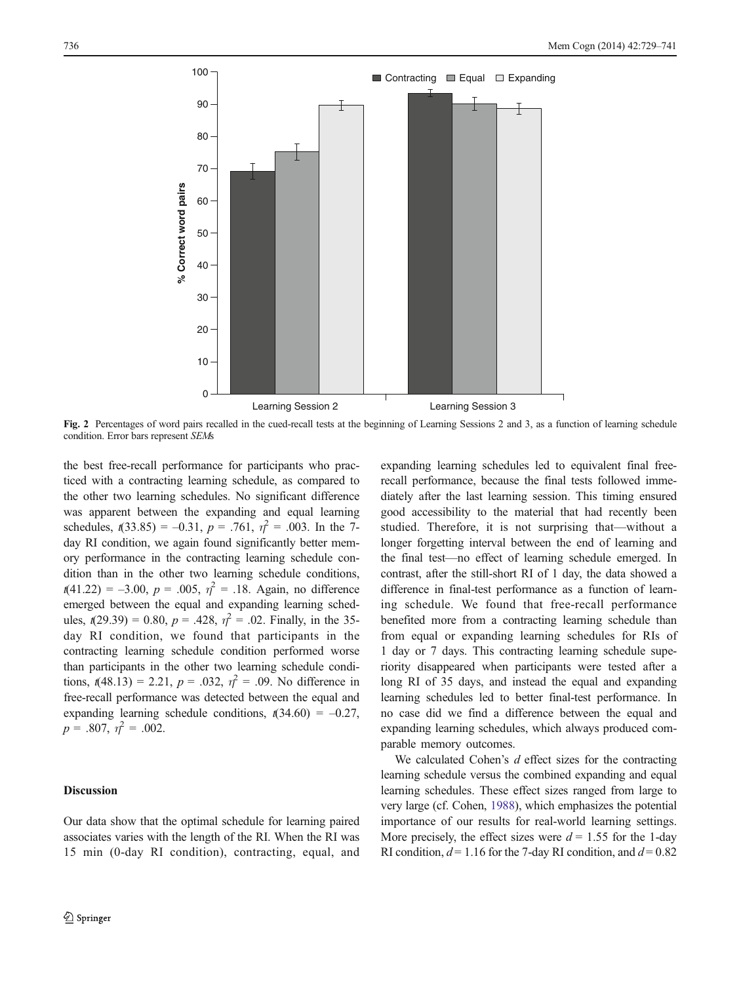<span id="page-7-0"></span>

Fig. 2 Percentages of word pairs recalled in the cued-recall tests at the beginning of Learning Sessions 2 and 3, as a function of learning schedule condition. Error bars represent SEMs

the best free-recall performance for participants who practiced with a contracting learning schedule, as compared to the other two learning schedules. No significant difference was apparent between the expanding and equal learning schedules,  $t(33.85) = -0.31$ ,  $p = .761$ ,  $\eta^2 = .003$ . In the 7day RI condition, we again found significantly better memory performance in the contracting learning schedule condition than in the other two learning schedule conditions,  $t(41.22) = -3.00, p = .005, \eta^2 = .18$ . Again, no difference emerged between the equal and expanding learning schedules,  $t(29.39) = 0.80$ ,  $p = .428$ ,  $\eta^2 = .02$ . Finally, in the 35day RI condition, we found that participants in the contracting learning schedule condition performed worse than participants in the other two learning schedule conditions,  $t(48.13) = 2.21$ ,  $p = .032$ ,  $\eta^2 = .09$ . No difference in free-recall performance was detected between the equal and expanding learning schedule conditions,  $t(34.60) = -0.27$ ,  $p = .807, \eta^2 = .002.$ 

## **Discussion**

Our data show that the optimal schedule for learning paired associates varies with the length of the RI. When the RI was 15 min (0-day RI condition), contracting, equal, and expanding learning schedules led to equivalent final freerecall performance, because the final tests followed immediately after the last learning session. This timing ensured good accessibility to the material that had recently been studied. Therefore, it is not surprising that—without a longer forgetting interval between the end of learning and the final test—no effect of learning schedule emerged. In contrast, after the still-short RI of 1 day, the data showed a difference in final-test performance as a function of learning schedule. We found that free-recall performance benefited more from a contracting learning schedule than from equal or expanding learning schedules for RIs of 1 day or 7 days. This contracting learning schedule superiority disappeared when participants were tested after a long RI of 35 days, and instead the equal and expanding learning schedules led to better final-test performance. In no case did we find a difference between the equal and expanding learning schedules, which always produced comparable memory outcomes.

We calculated Cohen's d effect sizes for the contracting learning schedule versus the combined expanding and equal learning schedules. These effect sizes ranged from large to very large (cf. Cohen, [1988\)](#page-11-0), which emphasizes the potential importance of our results for real-world learning settings. More precisely, the effect sizes were  $d = 1.55$  for the 1-day RI condition,  $d = 1.16$  for the 7-day RI condition, and  $d = 0.82$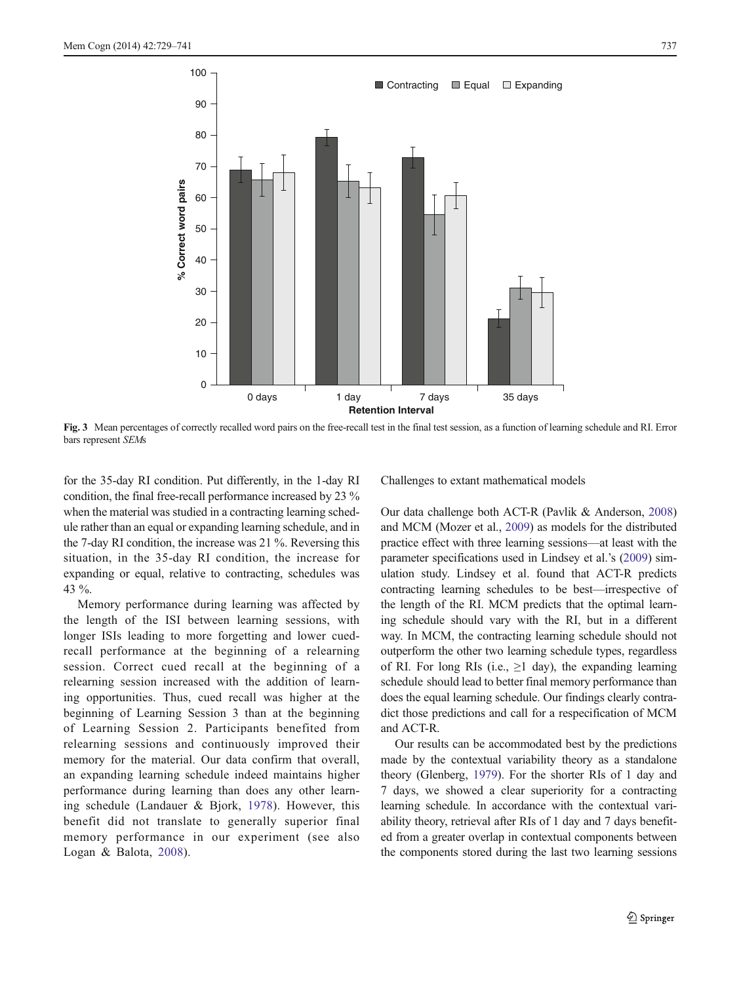<span id="page-8-0"></span>

Fig. 3 Mean percentages of correctly recalled word pairs on the free-recall test in the final test session, as a function of learning schedule and RI. Error bars represent SEMs

for the 35-day RI condition. Put differently, in the 1-day RI condition, the final free-recall performance increased by 23 % when the material was studied in a contracting learning schedule rather than an equal or expanding learning schedule, and in the 7-day RI condition, the increase was 21 %. Reversing this situation, in the 35-day RI condition, the increase for expanding or equal, relative to contracting, schedules was 43 %.

Memory performance during learning was affected by the length of the ISI between learning sessions, with longer ISIs leading to more forgetting and lower cuedrecall performance at the beginning of a relearning session. Correct cued recall at the beginning of a relearning session increased with the addition of learning opportunities. Thus, cued recall was higher at the beginning of Learning Session 3 than at the beginning of Learning Session 2. Participants benefited from relearning sessions and continuously improved their memory for the material. Our data confirm that overall, an expanding learning schedule indeed maintains higher performance during learning than does any other learning schedule (Landauer & Bjork, [1978](#page-12-0)). However, this benefit did not translate to generally superior final memory performance in our experiment (see also Logan & Balota, [2008](#page-12-0)).

Challenges to extant mathematical models

Our data challenge both ACT-R (Pavlik & Anderson, [2008](#page-12-0)) and MCM (Mozer et al., [2009\)](#page-12-0) as models for the distributed practice effect with three learning sessions—at least with the parameter specifications used in Lindsey et al.'s [\(2009\)](#page-12-0) simulation study. Lindsey et al. found that ACT-R predicts contracting learning schedules to be best—irrespective of the length of the RI. MCM predicts that the optimal learning schedule should vary with the RI, but in a different way. In MCM, the contracting learning schedule should not outperform the other two learning schedule types, regardless of RI. For long RIs (i.e.,  $\geq 1$  day), the expanding learning schedule should lead to better final memory performance than does the equal learning schedule. Our findings clearly contradict those predictions and call for a respecification of MCM and ACT-R.

Our results can be accommodated best by the predictions made by the contextual variability theory as a standalone theory (Glenberg, [1979\)](#page-11-0). For the shorter RIs of 1 day and 7 days, we showed a clear superiority for a contracting learning schedule. In accordance with the contextual variability theory, retrieval after RIs of 1 day and 7 days benefited from a greater overlap in contextual components between the components stored during the last two learning sessions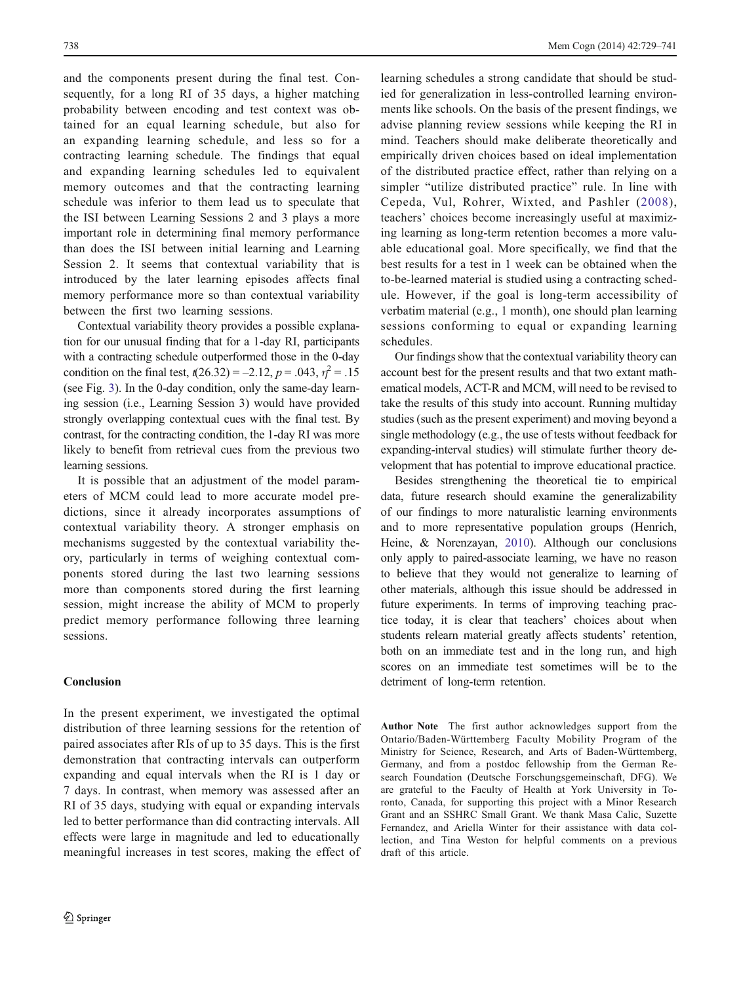and the components present during the final test. Consequently, for a long RI of 35 days, a higher matching probability between encoding and test context was obtained for an equal learning schedule, but also for an expanding learning schedule, and less so for a contracting learning schedule. The findings that equal and expanding learning schedules led to equivalent memory outcomes and that the contracting learning schedule was inferior to them lead us to speculate that the ISI between Learning Sessions 2 and 3 plays a more important role in determining final memory performance than does the ISI between initial learning and Learning Session 2. It seems that contextual variability that is introduced by the later learning episodes affects final memory performance more so than contextual variability between the first two learning sessions.

Contextual variability theory provides a possible explanation for our unusual finding that for a 1-day RI, participants with a contracting schedule outperformed those in the 0-day condition on the final test,  $t(26.32) = -2.12$ ,  $p = .043$ ,  $\eta^2 = .15$ (see Fig. [3](#page-8-0)). In the 0-day condition, only the same-day learning session (i.e., Learning Session 3) would have provided strongly overlapping contextual cues with the final test. By contrast, for the contracting condition, the 1-day RI was more likely to benefit from retrieval cues from the previous two learning sessions.

It is possible that an adjustment of the model parameters of MCM could lead to more accurate model predictions, since it already incorporates assumptions of contextual variability theory. A stronger emphasis on mechanisms suggested by the contextual variability theory, particularly in terms of weighing contextual components stored during the last two learning sessions more than components stored during the first learning session, might increase the ability of MCM to properly predict memory performance following three learning sessions.

## Conclusion

In the present experiment, we investigated the optimal distribution of three learning sessions for the retention of paired associates after RIs of up to 35 days. This is the first demonstration that contracting intervals can outperform expanding and equal intervals when the RI is 1 day or 7 days. In contrast, when memory was assessed after an RI of 35 days, studying with equal or expanding intervals led to better performance than did contracting intervals. All effects were large in magnitude and led to educationally meaningful increases in test scores, making the effect of

learning schedules a strong candidate that should be studied for generalization in less-controlled learning environments like schools. On the basis of the present findings, we advise planning review sessions while keeping the RI in mind. Teachers should make deliberate theoretically and empirically driven choices based on ideal implementation of the distributed practice effect, rather than relying on a simpler "utilize distributed practice" rule. In line with Cepeda, Vul, Rohrer, Wixted, and Pashler ([2008\)](#page-11-0), teachers' choices become increasingly useful at maximizing learning as long-term retention becomes a more valuable educational goal. More specifically, we find that the best results for a test in 1 week can be obtained when the to-be-learned material is studied using a contracting schedule. However, if the goal is long-term accessibility of verbatim material (e.g., 1 month), one should plan learning sessions conforming to equal or expanding learning schedules.

Our findings show that the contextual variability theory can account best for the present results and that two extant mathematical models, ACT-R and MCM, will need to be revised to take the results of this study into account. Running multiday studies (such as the present experiment) and moving beyond a single methodology (e.g., the use of tests without feedback for expanding-interval studies) will stimulate further theory development that has potential to improve educational practice.

Besides strengthening the theoretical tie to empirical data, future research should examine the generalizability of our findings to more naturalistic learning environments and to more representative population groups (Henrich, Heine, & Norenzayan, [2010\)](#page-11-0). Although our conclusions only apply to paired-associate learning, we have no reason to believe that they would not generalize to learning of other materials, although this issue should be addressed in future experiments. In terms of improving teaching practice today, it is clear that teachers' choices about when students relearn material greatly affects students' retention, both on an immediate test and in the long run, and high scores on an immediate test sometimes will be to the detriment of long-term retention.

Author Note The first author acknowledges support from the Ontario/Baden-Württemberg Faculty Mobility Program of the Ministry for Science, Research, and Arts of Baden-Württemberg, Germany, and from a postdoc fellowship from the German Research Foundation (Deutsche Forschungsgemeinschaft, DFG). We are grateful to the Faculty of Health at York University in Toronto, Canada, for supporting this project with a Minor Research Grant and an SSHRC Small Grant. We thank Masa Calic, Suzette Fernandez, and Ariella Winter for their assistance with data collection, and Tina Weston for helpful comments on a previous draft of this article.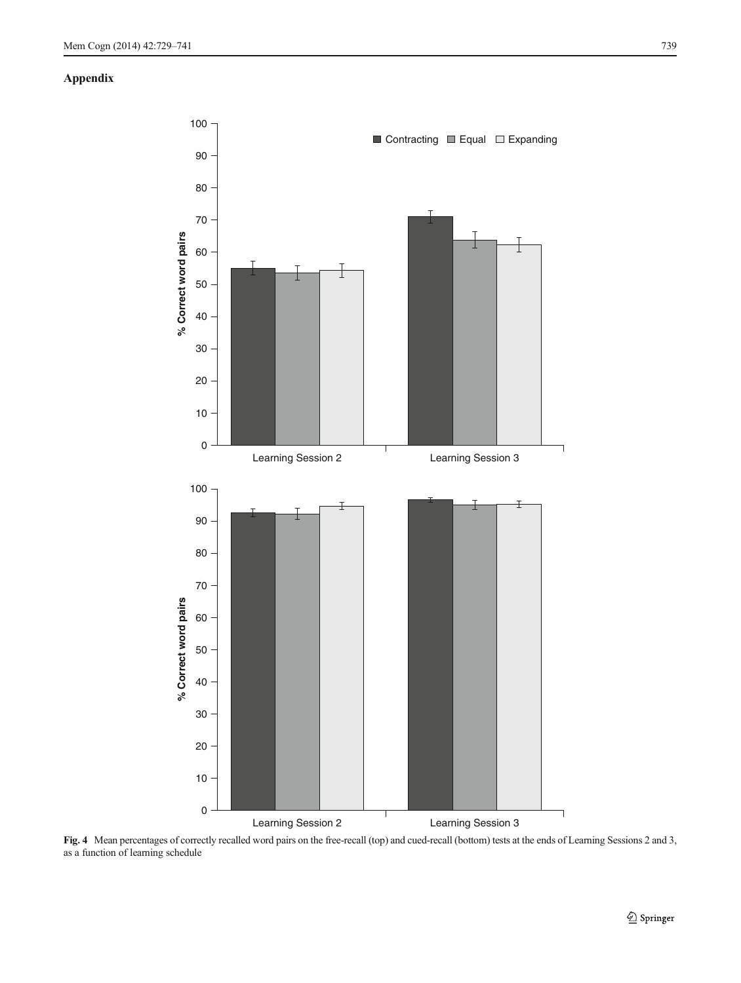<span id="page-10-0"></span>

Fig. 4 Mean percentages of correctly recalled word pairs on the free-recall (top) and cued-recall (bottom) tests at the ends of Learning Sessions 2 and 3, as a function of learning schedule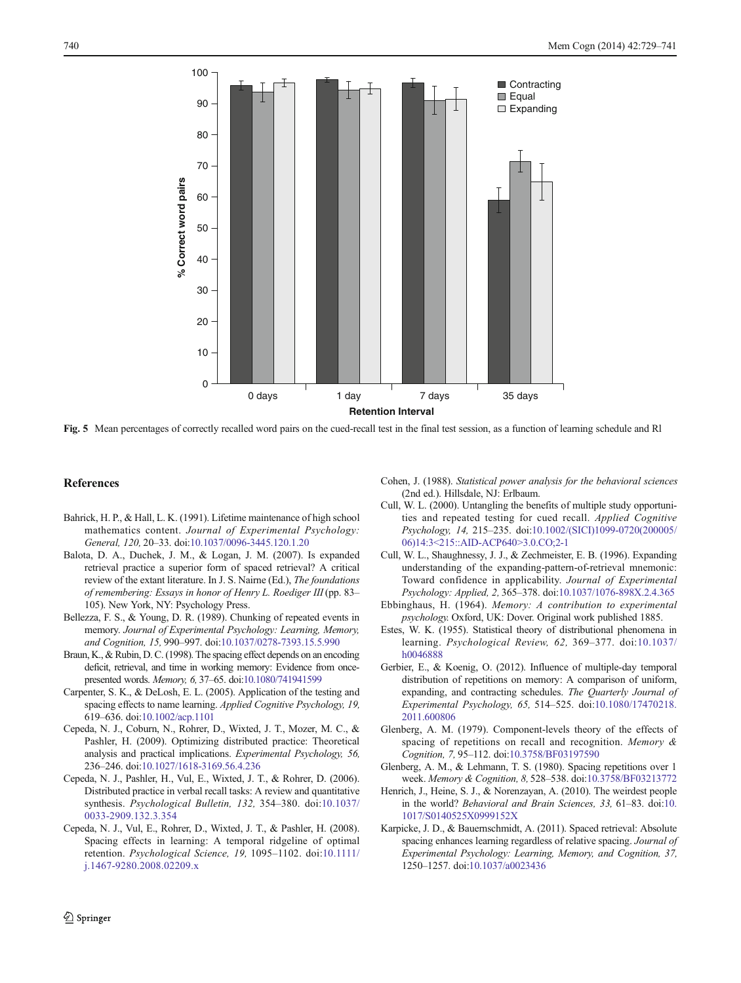<span id="page-11-0"></span>

Fig. 5 Mean percentages of correctly recalled word pairs on the cued-recall test in the final test session, as a function of learning schedule and RI

#### References

- Bahrick, H. P., & Hall, L. K. (1991). Lifetime maintenance of high school mathematics content. Journal of Experimental Psychology: General, 120, 20–33. doi:[10.1037/0096-3445.120.1.20](http://dx.doi.org/10.1037/0096-3445.120.1.20)
- Balota, D. A., Duchek, J. M., & Logan, J. M. (2007). Is expanded retrieval practice a superior form of spaced retrieval? A critical review of the extant literature. In J. S. Nairne (Ed.), The foundations of remembering: Essays in honor of Henry L. Roediger III (pp. 83– 105). New York, NY: Psychology Press.
- Bellezza, F. S., & Young, D. R. (1989). Chunking of repeated events in memory. Journal of Experimental Psychology: Learning, Memory, and Cognition, 15, 990–997. doi:[10.1037/0278-7393.15.5.990](http://dx.doi.org/10.1037/0278-7393.15.5.990)
- Braun, K., & Rubin, D. C. (1998). The spacing effect depends on an encoding deficit, retrieval, and time in working memory: Evidence from oncepresented words. Memory, 6, 37–65. doi[:10.1080/741941599](http://dx.doi.org/10.1080/741941599)
- Carpenter, S. K., & DeLosh, E. L. (2005). Application of the testing and spacing effects to name learning. Applied Cognitive Psychology, 19, 619–636. doi[:10.1002/acp.1101](http://dx.doi.org/10.1002/acp.1101)
- Cepeda, N. J., Coburn, N., Rohrer, D., Wixted, J. T., Mozer, M. C., & Pashler, H. (2009). Optimizing distributed practice: Theoretical analysis and practical implications. Experimental Psychology, 56, 236–246. doi[:10.1027/1618-3169.56.4.236](http://dx.doi.org/10.1027/1618-3169.56.4.236)
- Cepeda, N. J., Pashler, H., Vul, E., Wixted, J. T., & Rohrer, D. (2006). Distributed practice in verbal recall tasks: A review and quantitative synthesis. Psychological Bulletin, 132, 354–380. doi:[10.1037/](http://dx.doi.org/10.1037/0033-2909.132.3.354) [0033-2909.132.3.354](http://dx.doi.org/10.1037/0033-2909.132.3.354)
- Cepeda, N. J., Vul, E., Rohrer, D., Wixted, J. T., & Pashler, H. (2008). Spacing effects in learning: A temporal ridgeline of optimal retention. Psychological Science, 19, 1095–1102. doi[:10.1111/](http://dx.doi.org/10.1111/j.1467-9280.2008.02209.x) [j.1467-9280.2008.02209.x](http://dx.doi.org/10.1111/j.1467-9280.2008.02209.x)

Cohen, J. (1988). Statistical power analysis for the behavioral sciences (2nd ed.). Hillsdale, NJ: Erlbaum.

- Cull, W. L. (2000). Untangling the benefits of multiple study opportunities and repeated testing for cued recall. Applied Cognitive Psychology, 14, 215–235. doi:[10.1002/\(SICI\)1099-0720\(200005/](http://dx.doi.org/10.1002/(SICI)1099-0720(200005/06)14:3%3C215::AID-ACP640%3E3.0.CO;2-1) [06\)14:3<215::AID-ACP640>3.0.CO;2-1](http://dx.doi.org/10.1002/(SICI)1099-0720(200005/06)14:3%3C215::AID-ACP640%3E3.0.CO;2-1)
- Cull, W. L., Shaughnessy, J. J., & Zechmeister, E. B. (1996). Expanding understanding of the expanding-pattern-of-retrieval mnemonic: Toward confidence in applicability. Journal of Experimental Psychology: Applied, 2, 365–378. doi[:10.1037/1076-898X.2.4.365](http://dx.doi.org/10.1037/1076-898X.2.4.365)
- Ebbinghaus, H. (1964). Memory: A contribution to experimental psychology. Oxford, UK: Dover. Original work published 1885.
- Estes, W. K. (1955). Statistical theory of distributional phenomena in learning. Psychological Review, 62, 369–377. doi:[10.1037/](http://dx.doi.org/10.1037/h0046888) [h0046888](http://dx.doi.org/10.1037/h0046888)
- Gerbier, E., & Koenig, O. (2012). Influence of multiple-day temporal distribution of repetitions on memory: A comparison of uniform, expanding, and contracting schedules. The Quarterly Journal of Experimental Psychology, 65, 514–525. doi[:10.1080/17470218.](http://dx.doi.org/10.1080/17470218.2011.600806) [2011.600806](http://dx.doi.org/10.1080/17470218.2011.600806)
- Glenberg, A. M. (1979). Component-levels theory of the effects of spacing of repetitions on recall and recognition. Memory & Cognition, 7, 95–112. doi:[10.3758/BF03197590](http://dx.doi.org/10.3758/BF03197590)
- Glenberg, A. M., & Lehmann, T. S. (1980). Spacing repetitions over 1 week. Memory & Cognition, 8, 528–538. doi:[10.3758/BF03213772](http://dx.doi.org/10.3758/BF03213772)
- Henrich, J., Heine, S. J., & Norenzayan, A. (2010). The weirdest people in the world? Behavioral and Brain Sciences, 33, 61–83. doi[:10.](http://dx.doi.org/10.1017/S0140525X0999152X) [1017/S0140525X0999152X](http://dx.doi.org/10.1017/S0140525X0999152X)
- Karpicke, J. D., & Bauernschmidt, A. (2011). Spaced retrieval: Absolute spacing enhances learning regardless of relative spacing. Journal of Experimental Psychology: Learning, Memory, and Cognition, 37, 1250–1257. doi[:10.1037/a0023436](http://dx.doi.org/10.1037/a0023436)